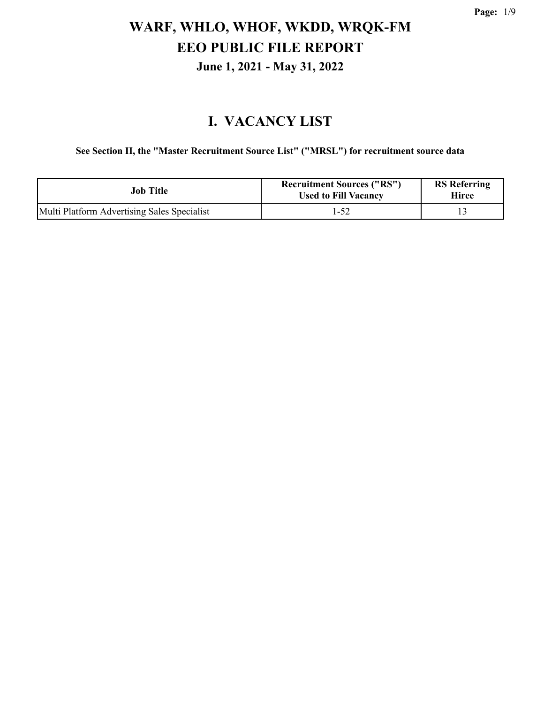### **I. VACANCY LIST**

**See Section II, the "Master Recruitment Source List" ("MRSL") for recruitment source data**

| <b>Job Title</b>                            | <b>Recruitment Sources ("RS")</b><br><b>Used to Fill Vacancy</b> | <b>RS</b> Referring<br>Hiree |
|---------------------------------------------|------------------------------------------------------------------|------------------------------|
| Multi Platform Advertising Sales Specialist | $1 - 52$                                                         |                              |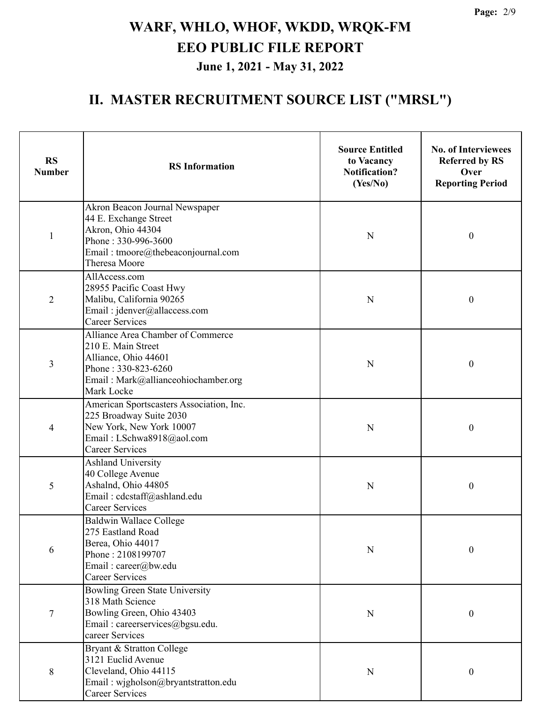| <b>RS</b><br><b>Number</b> | <b>RS</b> Information                                                                                                                                       | <b>Source Entitled</b><br>to Vacancy<br><b>Notification?</b><br>(Yes/No) | <b>No. of Interviewees</b><br><b>Referred by RS</b><br>Over<br><b>Reporting Period</b> |
|----------------------------|-------------------------------------------------------------------------------------------------------------------------------------------------------------|--------------------------------------------------------------------------|----------------------------------------------------------------------------------------|
| $\mathbf{1}$               | Akron Beacon Journal Newspaper<br>44 E. Exchange Street<br>Akron, Ohio 44304<br>Phone: 330-996-3600<br>Email: tmoore@thebeaconjournal.com<br>Theresa Moore  | N                                                                        | $\boldsymbol{0}$                                                                       |
| $\overline{2}$             | AllAccess.com<br>28955 Pacific Coast Hwy<br>Malibu, California 90265<br>Email: jdenver@allaccess.com<br><b>Career Services</b>                              |                                                                          | $\boldsymbol{0}$                                                                       |
| 3                          | Alliance Area Chamber of Commerce<br>210 E. Main Street<br>Alliance, Ohio 44601<br>Phone: 330-823-6260<br>Email: Mark@allianceohiochamber.org<br>Mark Locke | N                                                                        | $\boldsymbol{0}$                                                                       |
| 4                          | American Sportscasters Association, Inc.<br>225 Broadway Suite 2030<br>New York, New York 10007<br>Email: LSchwa8918@aol.com<br><b>Career Services</b>      | N                                                                        | $\boldsymbol{0}$                                                                       |
| 5                          | <b>Ashland University</b><br>40 College Avenue<br>Ashalnd, Ohio 44805<br>Email: cdcstaff@ashland.edu<br><b>Career Services</b>                              | N                                                                        | $\boldsymbol{0}$                                                                       |
| 6                          | Baldwin Wallace College<br>275 Eastland Road<br>Berea, Ohio 44017<br>Phone: 2108199707<br>Email: career@bw.edu<br><b>Career Services</b>                    | N                                                                        | 0                                                                                      |
| 7                          | Bowling Green State University<br>318 Math Science<br>Bowling Green, Ohio 43403<br>Email: careerservices@bgsu.edu.<br>career Services                       | ${\bf N}$                                                                | $\boldsymbol{0}$                                                                       |
| 8                          | Bryant & Stratton College<br>3121 Euclid Avenue<br>Cleveland, Ohio 44115<br>Email: wjgholson@bryantstratton.edu<br><b>Career Services</b>                   | N                                                                        | $\boldsymbol{0}$                                                                       |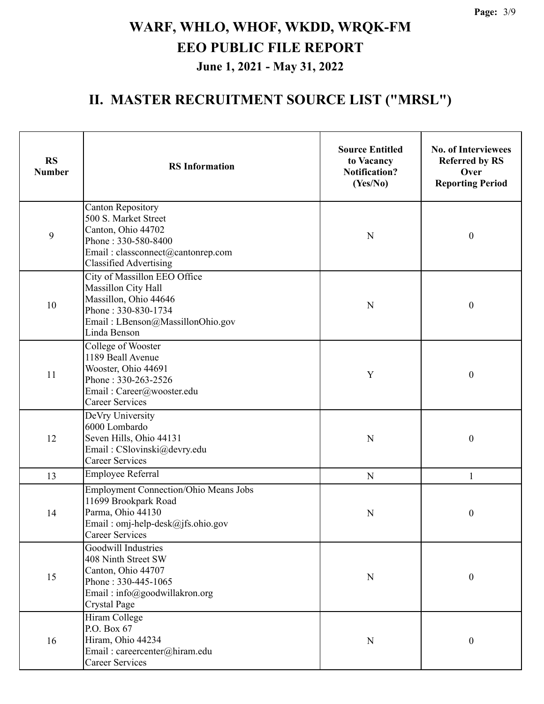| <b>RS</b><br><b>Number</b> | <b>RS</b> Information                                                                                                                                               | <b>Source Entitled</b><br>to Vacancy<br><b>Notification?</b><br>(Yes/No) | <b>No. of Interviewees</b><br><b>Referred by RS</b><br>Over<br><b>Reporting Period</b> |
|----------------------------|---------------------------------------------------------------------------------------------------------------------------------------------------------------------|--------------------------------------------------------------------------|----------------------------------------------------------------------------------------|
| 9                          | <b>Canton Repository</b><br>500 S. Market Street<br>Canton, Ohio 44702<br>Phone: 330-580-8400<br>Email: classconnect@cantonrep.com<br><b>Classified Advertising</b> | $\mathbf N$                                                              | $\boldsymbol{0}$                                                                       |
| 10                         | City of Massillon EEO Office<br>Massillon City Hall<br>Massillon, Ohio 44646<br>Phone: 330-830-1734<br>Email: LBenson@MassillonOhio.gov<br>Linda Benson             | N                                                                        | $\boldsymbol{0}$                                                                       |
| 11                         | College of Wooster<br>1189 Beall Avenue<br>Wooster, Ohio 44691<br>Phone: 330-263-2526<br>Email: Career@wooster.edu<br><b>Career Services</b>                        | Y                                                                        | $\boldsymbol{0}$                                                                       |
| 12                         | DeVry University<br>6000 Lombardo<br>Seven Hills, Ohio 44131<br>Email: CSlovinski@devry.edu<br><b>Career Services</b>                                               | N                                                                        | $\boldsymbol{0}$                                                                       |
| 13                         | Employee Referral                                                                                                                                                   | ${\bf N}$                                                                | 1                                                                                      |
| 14                         | <b>Employment Connection/Ohio Means Jobs</b><br>11699 Brookpark Road<br>Parma, Ohio 44130<br>Email: omj-help-desk@jfs.ohio.gov<br>Career Services                   | N                                                                        | $\boldsymbol{0}$                                                                       |
| 15                         | Goodwill Industries<br>408 Ninth Street SW<br>Canton, Ohio 44707<br>Phone: 330-445-1065<br>Email: info@goodwillakron.org<br><b>Crystal Page</b>                     | $\mathbf N$                                                              | $\boldsymbol{0}$                                                                       |
| 16                         | Hiram College<br>P.O. Box 67<br>Hiram, Ohio 44234<br>Email: careercenter@hiram.edu<br><b>Career Services</b>                                                        | N                                                                        | $\boldsymbol{0}$                                                                       |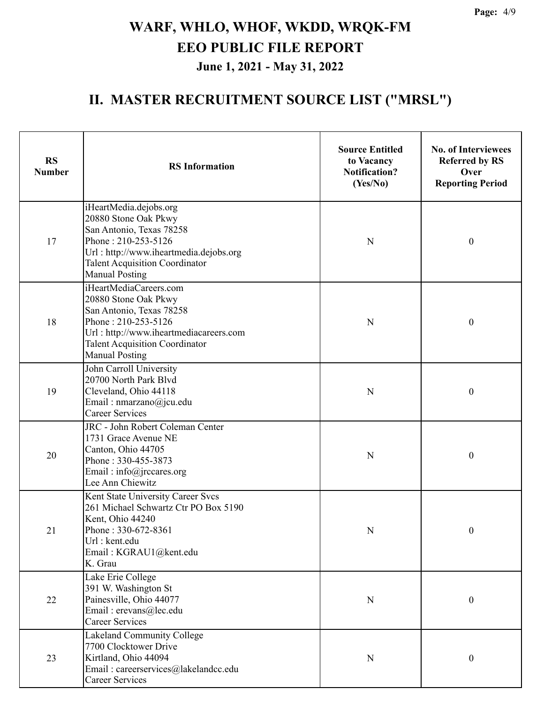| <b>RS</b><br><b>Number</b> | <b>RS</b> Information                                                                                                                                                                                         | <b>Source Entitled</b><br>to Vacancy<br><b>Notification?</b><br>(Yes/No) | <b>No. of Interviewees</b><br><b>Referred by RS</b><br>Over<br><b>Reporting Period</b> |
|----------------------------|---------------------------------------------------------------------------------------------------------------------------------------------------------------------------------------------------------------|--------------------------------------------------------------------------|----------------------------------------------------------------------------------------|
| 17                         | iHeartMedia.dejobs.org<br>20880 Stone Oak Pkwy<br>San Antonio, Texas 78258<br>Phone: 210-253-5126<br>Url: http://www.iheartmedia.dejobs.org<br><b>Talent Acquisition Coordinator</b><br><b>Manual Posting</b> |                                                                          | $\boldsymbol{0}$                                                                       |
| 18                         | iHeartMediaCareers.com<br>20880 Stone Oak Pkwy<br>San Antonio, Texas 78258<br>Phone: 210-253-5126<br>Url: http://www.iheartmediacareers.com<br><b>Talent Acquisition Coordinator</b><br><b>Manual Posting</b> | N                                                                        | $\boldsymbol{0}$                                                                       |
| 19                         | John Carroll University<br>20700 North Park Blyd<br>Cleveland, Ohio 44118<br>Email: nmarzano@jcu.edu<br><b>Career Services</b>                                                                                | N                                                                        | $\boldsymbol{0}$                                                                       |
| 20                         | JRC - John Robert Coleman Center<br>1731 Grace Avenue NE<br>Canton, Ohio 44705<br>Phone: 330-455-3873<br>Email: info@jrccares.org<br>Lee Ann Chiewitz                                                         | N                                                                        | $\boldsymbol{0}$                                                                       |
| 21                         | Kent State University Career Svcs<br>261 Michael Schwartz Ctr PO Box 5190<br>Kent, Ohio 44240<br>Phone: 330-672-8361<br>Url : kent.edu<br>Email: KGRAU1@kent.edu<br>K. Grau                                   | $\mathbf N$                                                              | $\boldsymbol{0}$                                                                       |
| 22                         | Lake Erie College<br>391 W. Washington St<br>Painesville, Ohio 44077<br>Email: erevans@lec.edu<br><b>Career Services</b>                                                                                      | $\mathbf N$                                                              | $\boldsymbol{0}$                                                                       |
| 23                         | Lakeland Community College<br>7700 Clocktower Drive<br>Kirtland, Ohio 44094<br>Email: careerservices@lakelandcc.edu<br><b>Career Services</b>                                                                 | $\mathbf N$                                                              | $\boldsymbol{0}$                                                                       |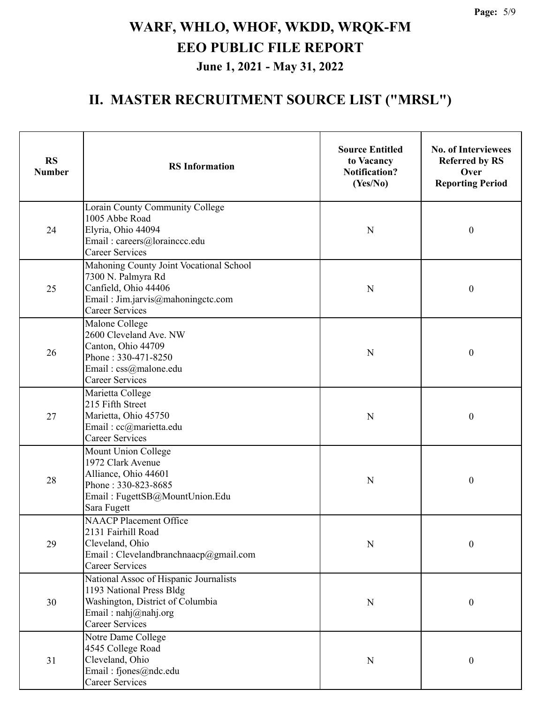| <b>RS</b><br><b>Number</b> | <b>RS</b> Information                                                                                                                                     | <b>Source Entitled</b><br>to Vacancy<br><b>Notification?</b><br>(Yes/No) | <b>No. of Interviewees</b><br><b>Referred by RS</b><br>Over<br><b>Reporting Period</b> |
|----------------------------|-----------------------------------------------------------------------------------------------------------------------------------------------------------|--------------------------------------------------------------------------|----------------------------------------------------------------------------------------|
| 24                         | Lorain County Community College<br>1005 Abbe Road<br>Elyria, Ohio 44094<br>Email: careers@lorainccc.edu<br><b>Career Services</b>                         | N                                                                        | $\boldsymbol{0}$                                                                       |
| 25                         | Mahoning County Joint Vocational School<br>7300 N. Palmyra Rd<br>Canfield, Ohio 44406<br>N<br>Email: Jim.jarvis@mahoningctc.com<br><b>Career Services</b> |                                                                          | $\boldsymbol{0}$                                                                       |
| 26                         | Malone College<br>2600 Cleveland Ave. NW<br>Canton, Ohio 44709<br>Phone: 330-471-8250<br>Email: css@malone.edu<br><b>Career Services</b>                  | N                                                                        | $\boldsymbol{0}$                                                                       |
| 27                         | Marietta College<br>215 Fifth Street<br>Marietta, Ohio 45750<br>Email: cc@marietta.edu<br><b>Career Services</b>                                          | N                                                                        | $\boldsymbol{0}$                                                                       |
| 28                         | Mount Union College<br>1972 Clark Avenue<br>Alliance, Ohio 44601<br>Phone: 330-823-8685<br>Email: FugettSB@MountUnion.Edu<br>Sara Fugett                  | N                                                                        | $\boldsymbol{0}$                                                                       |
| 29                         | <b>NAACP Placement Office</b><br>2131 Fairhill Road<br>Cleveland, Ohio<br>Email: Clevelandbranchnaacp@gmail.com<br><b>Career Services</b>                 | N                                                                        | 0                                                                                      |
| 30                         | National Assoc of Hispanic Journalists<br>1193 National Press Bldg<br>Washington, District of Columbia<br>Email: nahj@nahj.org<br><b>Career Services</b>  | N                                                                        | $\boldsymbol{0}$                                                                       |
| 31                         | Notre Dame College<br>4545 College Road<br>Cleveland, Ohio<br>Email: fjones@ndc.edu<br>Career Services                                                    | N                                                                        | $\boldsymbol{0}$                                                                       |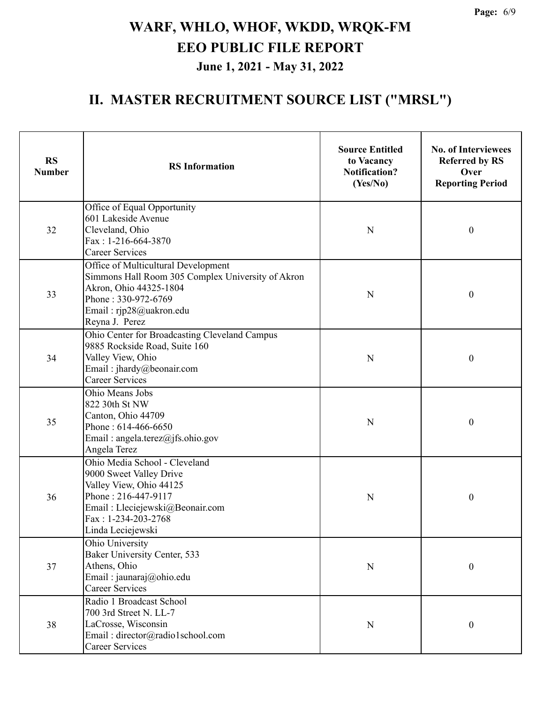| <b>RS</b><br><b>Number</b> | <b>RS</b> Information                                                                                                                                                                     | <b>Source Entitled</b><br>to Vacancy<br><b>Notification?</b><br>(Yes/No) | <b>No. of Interviewees</b><br><b>Referred by RS</b><br>Over<br><b>Reporting Period</b> |
|----------------------------|-------------------------------------------------------------------------------------------------------------------------------------------------------------------------------------------|--------------------------------------------------------------------------|----------------------------------------------------------------------------------------|
| 32                         | Office of Equal Opportunity<br>601 Lakeside Avenue<br>Cleveland, Ohio<br>Fax: 1-216-664-3870<br><b>Career Services</b>                                                                    | N                                                                        | $\boldsymbol{0}$                                                                       |
| 33                         | Office of Multicultural Development<br>Simmons Hall Room 305 Complex University of Akron<br>Akron, Ohio 44325-1804<br>Phone: 330-972-6769<br>Email: rjp28@uakron.edu<br>Reyna J. Perez    | N                                                                        | $\boldsymbol{0}$                                                                       |
| 34                         | Ohio Center for Broadcasting Cleveland Campus<br>9885 Rockside Road, Suite 160<br>Valley View, Ohio<br>Email: jhardy@beonair.com<br><b>Career Services</b>                                | N                                                                        | $\boldsymbol{0}$                                                                       |
| 35                         | Ohio Means Jobs<br>822 30th St NW<br>Canton, Ohio 44709<br>Phone: 614-466-6650<br>Email: angela.terez@jfs.ohio.gov<br>Angela Terez                                                        | N                                                                        | $\boldsymbol{0}$                                                                       |
| 36                         | Ohio Media School - Cleveland<br>9000 Sweet Valley Drive<br>Valley View, Ohio 44125<br>Phone: 216-447-9117<br>Email: Lleciejewski@Beonair.com<br>Fax: 1-234-203-2768<br>Linda Leciejewski | N                                                                        | $\boldsymbol{0}$                                                                       |
| 37                         | Ohio University<br>Baker University Center, 533<br>Athens, Ohio<br>Email: jaunaraj@ohio.edu<br><b>Career Services</b>                                                                     | $\mathbf N$                                                              | $\boldsymbol{0}$                                                                       |
| 38                         | Radio 1 Broadcast School<br>700 3rd Street N. LL-7<br>LaCrosse, Wisconsin<br>Email: director@radio1school.com<br><b>Career Services</b>                                                   | ${\bf N}$                                                                | $\boldsymbol{0}$                                                                       |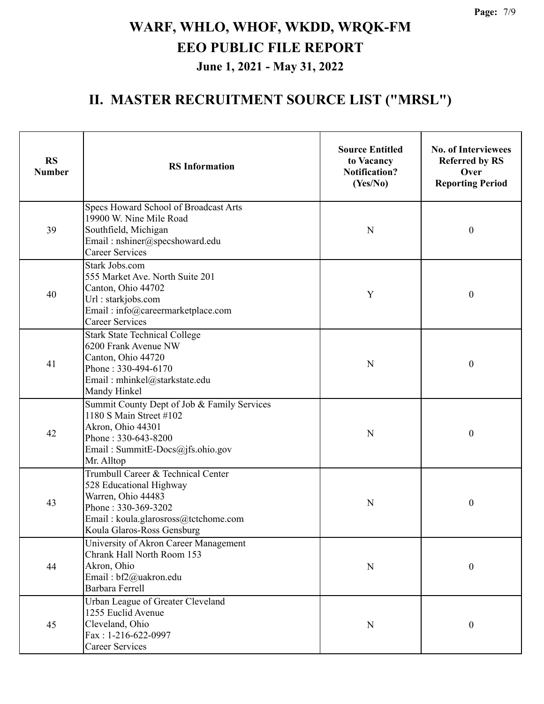| <b>RS</b><br><b>Number</b> | <b>RS</b> Information                                                                                                                                                            | <b>Source Entitled</b><br>to Vacancy<br><b>Notification?</b><br>(Yes/No) | <b>No. of Interviewees</b><br><b>Referred by RS</b><br>Over<br><b>Reporting Period</b> |
|----------------------------|----------------------------------------------------------------------------------------------------------------------------------------------------------------------------------|--------------------------------------------------------------------------|----------------------------------------------------------------------------------------|
| 39                         | Specs Howard School of Broadcast Arts<br>19900 W. Nine Mile Road<br>Southfield, Michigan<br>Email: nshiner@specshoward.edu<br><b>Career Services</b>                             | N                                                                        | $\boldsymbol{0}$                                                                       |
| 40                         | Stark Jobs.com<br>555 Market Ave. North Suite 201<br>Canton, Ohio 44702<br>Url: starkjobs.com<br>Email: info@careermarketplace.com<br><b>Career Services</b>                     | Y                                                                        | $\boldsymbol{0}$                                                                       |
| 41                         | <b>Stark State Technical College</b><br>6200 Frank Avenue NW<br>Canton, Ohio 44720<br>Phone: 330-494-6170<br>Email: mhinkel@starkstate.edu<br>Mandy Hinkel                       | N                                                                        | $\boldsymbol{0}$                                                                       |
| 42                         | Summit County Dept of Job & Family Services<br>1180 S Main Street #102<br>Akron, Ohio 44301<br>Phone: 330-643-8200<br>Email: SummitE-Docs@jfs.ohio.gov<br>Mr. Alltop             | N                                                                        | $\boldsymbol{0}$                                                                       |
| 43                         | Trumbull Career & Technical Center<br>528 Educational Highway<br>Warren, Ohio 44483<br>Phone: 330-369-3202<br>Email: koula.glarosross@tctchome.com<br>Koula Glaros-Ross Gensburg | N                                                                        | $\boldsymbol{0}$                                                                       |
| 44                         | University of Akron Career Management<br>Chrank Hall North Room 153<br>Akron, Ohio<br>Email: bf2@uakron.edu<br>Barbara Ferrell                                                   | ${\bf N}$                                                                | $\boldsymbol{0}$                                                                       |
| 45                         | Urban League of Greater Cleveland<br>1255 Euclid Avenue<br>Cleveland, Ohio<br>Fax: 1-216-622-0997<br>Career Services                                                             | N                                                                        | 0                                                                                      |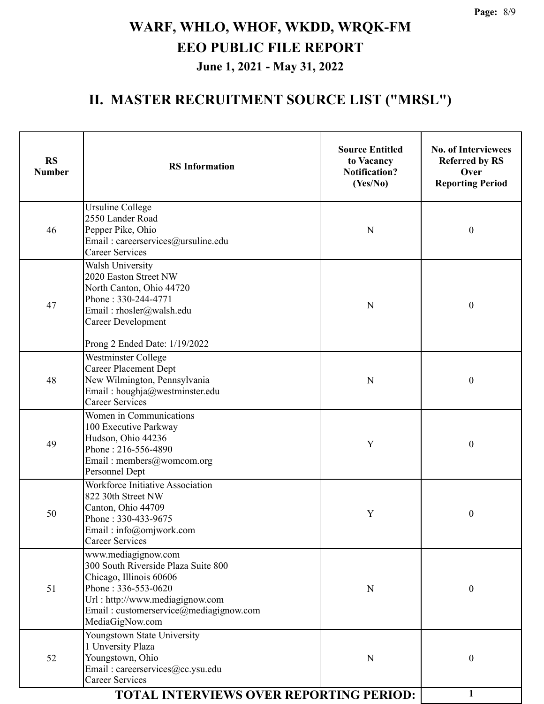| <b>RS</b><br><b>Number</b> | <b>RS</b> Information                                                                                                                                                                                        | <b>Source Entitled</b><br>to Vacancy<br><b>Notification?</b><br>(Yes/No) | <b>No. of Interviewees</b><br><b>Referred by RS</b><br>Over<br><b>Reporting Period</b> |
|----------------------------|--------------------------------------------------------------------------------------------------------------------------------------------------------------------------------------------------------------|--------------------------------------------------------------------------|----------------------------------------------------------------------------------------|
| 46                         | Ursuline College<br>2550 Lander Road<br>Pepper Pike, Ohio<br>N<br>Email: careerservices@ursuline.edu<br><b>Career Services</b>                                                                               |                                                                          | $\boldsymbol{0}$                                                                       |
| 47                         | <b>Walsh University</b><br>2020 Easton Street NW<br>North Canton, Ohio 44720<br>Phone: 330-244-4771<br>Email: rhosler@walsh.edu<br><b>Career Development</b><br>Prong 2 Ended Date: 1/19/2022                |                                                                          | $\boldsymbol{0}$                                                                       |
| 48                         | Westminster College<br><b>Career Placement Dept</b><br>New Wilmington, Pennsylvania<br>Email: houghja@westminster.edu<br><b>Career Services</b>                                                              | N                                                                        | $\boldsymbol{0}$                                                                       |
| 49                         | Women in Communications<br>100 Executive Parkway<br>Hudson, Ohio 44236<br>Phone: 216-556-4890<br>Email: members@womcom.org<br>Personnel Dept                                                                 | Y                                                                        | $\boldsymbol{0}$                                                                       |
| 50                         | Workforce Initiative Association<br>822 30th Street NW<br>Canton, Ohio 44709<br>Phone: 330-433-9675<br>Email: info@omjwork.com<br><b>Career Services</b>                                                     | Y                                                                        | $\boldsymbol{0}$                                                                       |
| 51                         | www.mediagignow.com<br>300 South Riverside Plaza Suite 800<br>Chicago, Illinois 60606<br>Phone: 336-553-0620<br>Url: http://www.mediagignow.com<br>Email: customerservice@mediagignow.com<br>MediaGigNow.com | N                                                                        | $\boldsymbol{0}$                                                                       |
| 52                         | Youngstown State University<br>1 Unversity Plaza<br>Youngstown, Ohio<br>Email: careerservices@cc.ysu.edu<br><b>Career Services</b>                                                                           | N                                                                        | $\boldsymbol{0}$                                                                       |
|                            | <b>TOTAL INTERVIEWS OVER REPORTING PERIOD:</b>                                                                                                                                                               |                                                                          | 1                                                                                      |